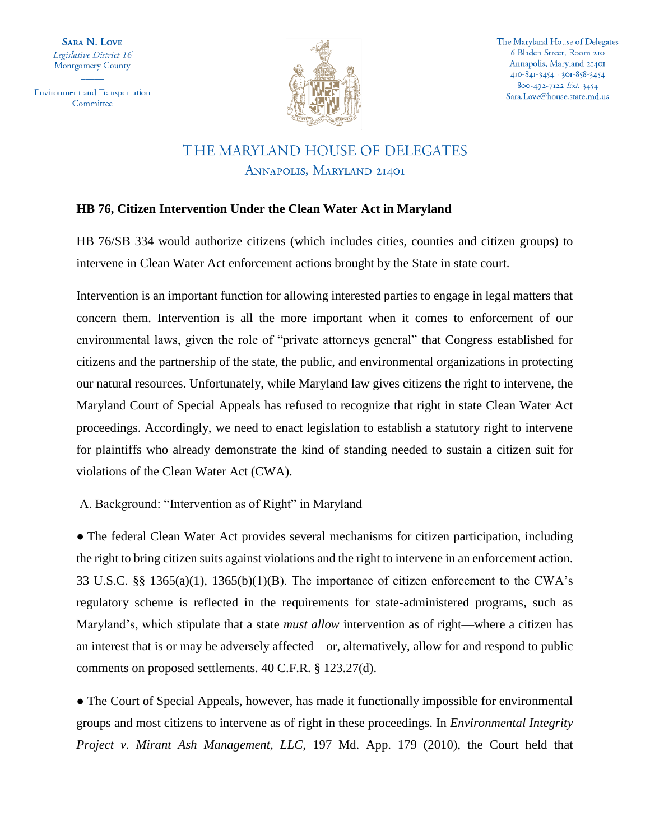**SARA N. LOVE** Legislative District 16 Montgomery County

**Environment and Transportation** Committee



The Maryland House of Delegates 6 Bladen Street, Room 210 Annapolis, Maryland 21401 410-841-3454 · 301-858-3454 800-492-7122 Ext. 3454 Sara.Love@house.state.md.us

# THE MARYLAND HOUSE OF DELEGATES ANNAPOLIS, MARYLAND 21401

## **HB 76, Citizen Intervention Under the Clean Water Act in Maryland**

HB 76/SB 334 would authorize citizens (which includes cities, counties and citizen groups) to intervene in Clean Water Act enforcement actions brought by the State in state court.

Intervention is an important function for allowing interested parties to engage in legal matters that concern them. Intervention is all the more important when it comes to enforcement of our environmental laws, given the role of "private attorneys general" that Congress established for citizens and the partnership of the state, the public, and environmental organizations in protecting our natural resources. Unfortunately, while Maryland law gives citizens the right to intervene, the Maryland Court of Special Appeals has refused to recognize that right in state Clean Water Act proceedings. Accordingly, we need to enact legislation to establish a statutory right to intervene for plaintiffs who already demonstrate the kind of standing needed to sustain a citizen suit for violations of the Clean Water Act (CWA).

## A. Background: "Intervention as of Right" in Maryland

• The federal Clean Water Act provides several mechanisms for citizen participation, including the right to bring citizen suits against violations and the right to intervene in an enforcement action. 33 U.S.C. §§ 1365(a)(1), 1365(b)(1)(B). The importance of citizen enforcement to the CWA's regulatory scheme is reflected in the requirements for state-administered programs, such as Maryland's, which stipulate that a state *must allow* intervention as of right—where a citizen has an interest that is or may be adversely affected—or, alternatively, allow for and respond to public comments on proposed settlements. 40 C.F.R. § 123.27(d).

• The Court of Special Appeals, however, has made it functionally impossible for environmental groups and most citizens to intervene as of right in these proceedings. In *Environmental Integrity Project v. Mirant Ash Management, LLC,* 197 Md. App. 179 (2010), the Court held that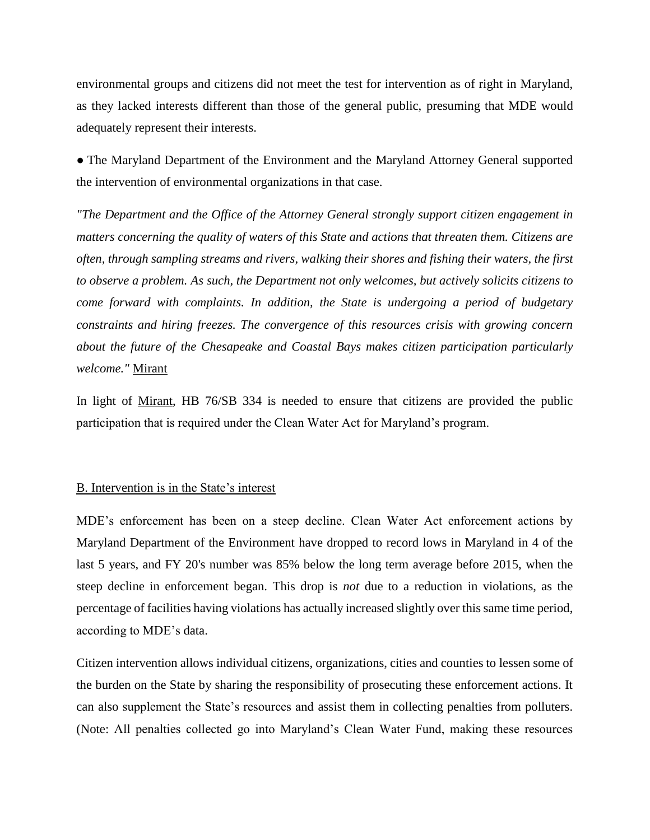environmental groups and citizens did not meet the test for intervention as of right in Maryland, as they lacked interests different than those of the general public, presuming that MDE would adequately represent their interests.

● The Maryland Department of the Environment and the Maryland Attorney General supported the intervention of environmental organizations in that case.

*"The Department and the Office of the Attorney General strongly support citizen engagement in matters concerning the quality of waters of this State and actions that threaten them. Citizens are often, through sampling streams and rivers, walking their shores and fishing their waters, the first to observe a problem. As such, the Department not only welcomes, but actively solicits citizens to come forward with complaints. In addition, the State is undergoing a period of budgetary constraints and hiring freezes. The convergence of this resources crisis with growing concern about the future of the Chesapeake and Coastal Bays makes citizen participation particularly welcome."* Mirant

In light of Mirant, HB 76/SB 334 is needed to ensure that citizens are provided the public participation that is required under the Clean Water Act for Maryland's program.

#### B. Intervention is in the State's interest

MDE's enforcement has been on a steep decline. Clean Water Act enforcement actions by Maryland Department of the Environment have dropped to record lows in Maryland in 4 of the last 5 years, and FY 20's number was 85% below the long term average before 2015, when the steep decline in enforcement began. This drop is *not* due to a reduction in violations, as the percentage of facilities having violations has actually increased slightly over this same time period, according to MDE's data.

Citizen intervention allows individual citizens, organizations, cities and counties to lessen some of the burden on the State by sharing the responsibility of prosecuting these enforcement actions. It can also supplement the State's resources and assist them in collecting penalties from polluters. (Note: All penalties collected go into Maryland's Clean Water Fund, making these resources